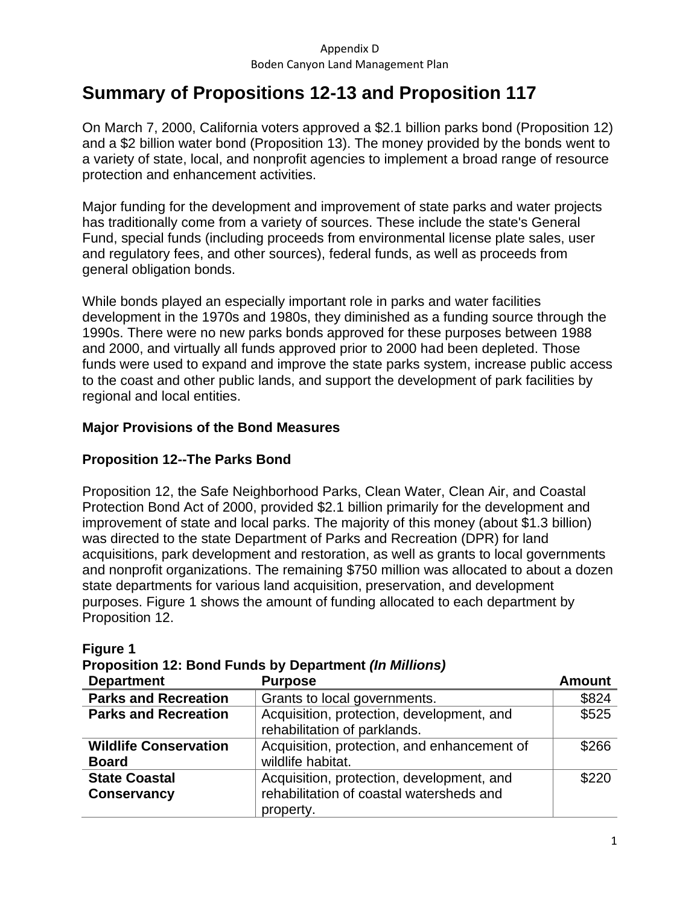# **Summary of Propositions 12-13 and Proposition 117**

On March 7, 2000, California voters approved a \$2.1 billion parks bond (Proposition 12) and a \$2 billion water bond (Proposition 13). The money provided by the bonds went to a variety of state, local, and nonprofit agencies to implement a broad range of resource protection and enhancement activities.

Major funding for the development and improvement of state parks and water projects has traditionally come from a variety of sources. These include the state's General Fund, special funds (including proceeds from environmental license plate sales, user and regulatory fees, and other sources), federal funds, as well as proceeds from general obligation bonds.

While bonds played an especially important role in parks and water facilities development in the 1970s and 1980s, they diminished as a funding source through the 1990s. There were no new parks bonds approved for these purposes between 1988 and 2000, and virtually all funds approved prior to 2000 had been depleted. Those funds were used to expand and improve the state parks system, increase public access to the coast and other public lands, and support the development of park facilities by regional and local entities.

## **Major Provisions of the Bond Measures**

## **Proposition 12--The Parks Bond**

Proposition 12, the Safe Neighborhood Parks, Clean Water, Clean Air, and Coastal Protection Bond Act of 2000, provided \$2.1 billion primarily for the development and improvement of state and local parks. The majority of this money (about \$1.3 billion) was directed to the state Department of Parks and Recreation (DPR) for land acquisitions, park development and restoration, as well as grants to local governments and nonprofit organizations. The remaining \$750 million was allocated to about a dozen state departments for various land acquisition, preservation, and development purposes. Figure 1 shows the amount of funding allocated to each department by Proposition 12.

| <b>Department</b>                            | <b>Purpose</b>                                                                                     | <b>Amount</b> |
|----------------------------------------------|----------------------------------------------------------------------------------------------------|---------------|
| <b>Parks and Recreation</b>                  | Grants to local governments.                                                                       | \$824         |
| <b>Parks and Recreation</b>                  | Acquisition, protection, development, and<br>rehabilitation of parklands.                          |               |
| <b>Wildlife Conservation</b><br><b>Board</b> | Acquisition, protection, and enhancement of<br>wildlife habitat.                                   | \$266         |
| <b>State Coastal</b><br><b>Conservancy</b>   | Acquisition, protection, development, and<br>rehabilitation of coastal watersheds and<br>property. | \$220         |

## **Figure 1**

**Proposition 12: Bond Funds by Department** *(In Millions)*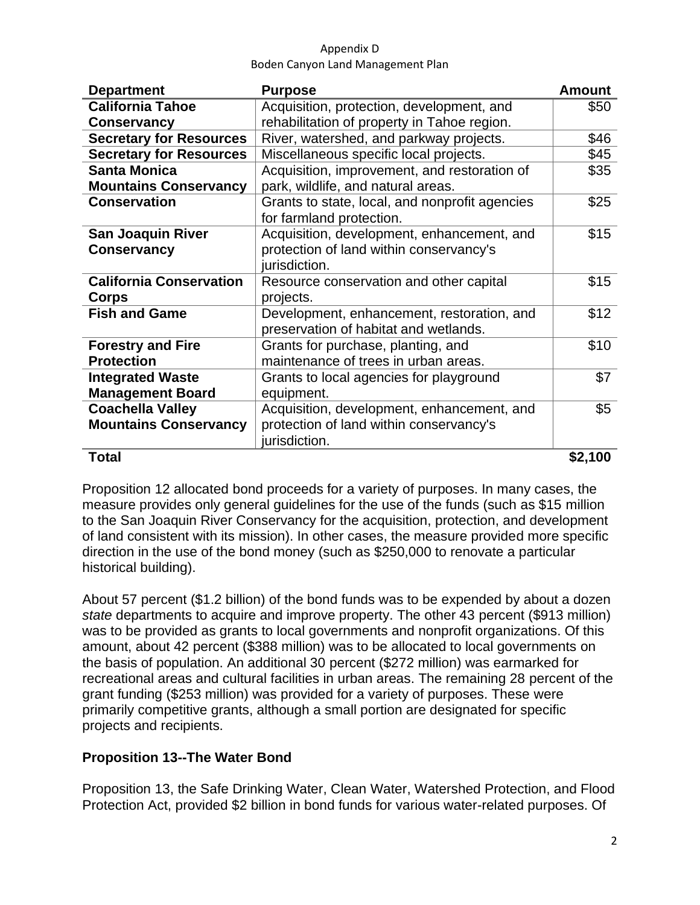| <b>Department</b>                                                         | <b>Purpose</b>                                 | <b>Amount</b> |
|---------------------------------------------------------------------------|------------------------------------------------|---------------|
| <b>California Tahoe</b>                                                   | Acquisition, protection, development, and      | \$50          |
| <b>Conservancy</b>                                                        | rehabilitation of property in Tahoe region.    |               |
| <b>Secretary for Resources</b><br>River, watershed, and parkway projects. |                                                | \$46          |
| <b>Secretary for Resources</b>                                            | Miscellaneous specific local projects.         | \$45          |
| <b>Santa Monica</b>                                                       | Acquisition, improvement, and restoration of   | \$35          |
| <b>Mountains Conservancy</b>                                              | park, wildlife, and natural areas.             |               |
| <b>Conservation</b>                                                       | Grants to state, local, and nonprofit agencies | \$25          |
|                                                                           | for farmland protection.                       |               |
| <b>San Joaquin River</b>                                                  | Acquisition, development, enhancement, and     | \$15          |
| <b>Conservancy</b>                                                        | protection of land within conservancy's        |               |
|                                                                           | jurisdiction.                                  |               |
| <b>California Conservation</b>                                            | Resource conservation and other capital        | \$15          |
| <b>Corps</b>                                                              | projects.                                      |               |
| <b>Fish and Game</b>                                                      | Development, enhancement, restoration, and     | \$12          |
|                                                                           | preservation of habitat and wetlands.          |               |
| <b>Forestry and Fire</b>                                                  | Grants for purchase, planting, and             | \$10          |
| <b>Protection</b>                                                         | maintenance of trees in urban areas.           |               |
| <b>Integrated Waste</b>                                                   | Grants to local agencies for playground        | \$7           |
| <b>Management Board</b>                                                   | equipment.                                     |               |
| <b>Coachella Valley</b>                                                   | Acquisition, development, enhancement, and     | \$5           |
| <b>Mountains Conservancy</b>                                              | protection of land within conservancy's        |               |
|                                                                           | jurisdiction.                                  |               |
| <b>Total</b>                                                              |                                                | \$2,100       |

Proposition 12 allocated bond proceeds for a variety of purposes. In many cases, the measure provides only general guidelines for the use of the funds (such as \$15 million to the San Joaquin River Conservancy for the acquisition, protection, and development of land consistent with its mission). In other cases, the measure provided more specific direction in the use of the bond money (such as \$250,000 to renovate a particular historical building).

About 57 percent (\$1.2 billion) of the bond funds was to be expended by about a dozen *state* departments to acquire and improve property. The other 43 percent (\$913 million) was to be provided as grants to local governments and nonprofit organizations. Of this amount, about 42 percent (\$388 million) was to be allocated to local governments on the basis of population. An additional 30 percent (\$272 million) was earmarked for recreational areas and cultural facilities in urban areas. The remaining 28 percent of the grant funding (\$253 million) was provided for a variety of purposes. These were primarily competitive grants, although a small portion are designated for specific projects and recipients.

## **Proposition 13--The Water Bond**

Proposition 13, the Safe Drinking Water, Clean Water, Watershed Protection, and Flood Protection Act, provided \$2 billion in bond funds for various water-related purposes. Of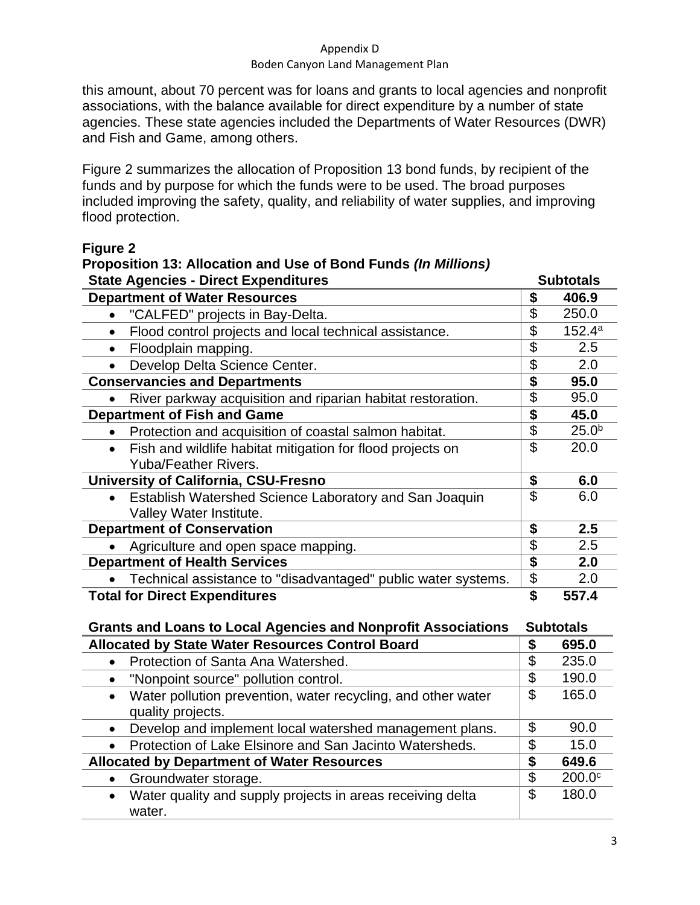#### Appendix D

#### Boden Canyon Land Management Plan

this amount, about 70 percent was for loans and grants to local agencies and nonprofit associations, with the balance available for direct expenditure by a number of state agencies. These state agencies included the Departments of Water Resources (DWR) and Fish and Game, among others.

Figure 2 summarizes the allocation of Proposition 13 bond funds, by recipient of the funds and by purpose for which the funds were to be used. The broad purposes included improving the safety, quality, and reliability of water supplies, and improving flood protection.

#### **Figure 2 Proposition 13: Allocation and Use of Bond Funds** *(In Millions)*

| <b>State Agencies - Direct Expenditures</b>                                                    |                                      | <b>Subtotals</b>   |  |
|------------------------------------------------------------------------------------------------|--------------------------------------|--------------------|--|
| <b>Department of Water Resources</b>                                                           | \$                                   | 406.9              |  |
| "CALFED" projects in Bay-Delta.                                                                | \$                                   | 250.0              |  |
| Flood control projects and local technical assistance.<br>$\bullet$                            | $\overline{\$}$                      | 152.4a             |  |
| Floodplain mapping.<br>$\bullet$                                                               | $\overline{\$}$                      | 2.5                |  |
| Develop Delta Science Center.                                                                  | \$                                   | 2.0                |  |
| <b>Conservancies and Departments</b>                                                           | $\overline{\boldsymbol{\mathsf{s}}}$ | 95.0               |  |
| River parkway acquisition and riparian habitat restoration.                                    | \$                                   | 95.0               |  |
| <b>Department of Fish and Game</b>                                                             | \$                                   | 45.0               |  |
| Protection and acquisition of coastal salmon habitat.                                          | \$                                   | 25.0 <sup>b</sup>  |  |
| Fish and wildlife habitat mitigation for flood projects on<br>$\bullet$                        | $\mathfrak{P}$                       | 20.0               |  |
| <b>Yuba/Feather Rivers.</b>                                                                    |                                      |                    |  |
| <b>University of California, CSU-Fresno</b>                                                    | \$                                   | 6.0                |  |
| Establish Watershed Science Laboratory and San Joaquin                                         | $\mathfrak{L}$                       | 6.0                |  |
| Valley Water Institute.                                                                        |                                      |                    |  |
| <b>Department of Conservation</b>                                                              | \$                                   | 2.5                |  |
| Agriculture and open space mapping.                                                            | \$<br>\$                             | 2.5                |  |
| <b>Department of Health Services</b>                                                           |                                      | 2.0                |  |
| Technical assistance to "disadvantaged" public water systems.                                  | \$                                   | 2.0                |  |
| <b>Total for Direct Expenditures</b>                                                           | \$                                   | 557.4              |  |
| <b>Grants and Loans to Local Agencies and Nonprofit Associations</b>                           |                                      | <b>Subtotals</b>   |  |
| <b>Allocated by State Water Resources Control Board</b>                                        |                                      | 695.0              |  |
| Protection of Santa Ana Watershed.<br>$\bullet$                                                | \$                                   | 235.0              |  |
| "Nonpoint source" pollution control.                                                           | \$                                   | 190.0              |  |
| Water pollution prevention, water recycling, and other water<br>$\bullet$<br>quality projects. | \$                                   | 165.0              |  |
| Develop and implement local watershed management plans.<br>$\bullet$                           | \$                                   | 90.0               |  |
| Protection of Lake Elsinore and San Jacinto Watersheds.                                        | \$                                   | 15.0               |  |
| <b>Allocated by Department of Water Resources</b>                                              |                                      | 649.6              |  |
| Groundwater storage.<br>$\bullet$                                                              | \$                                   | 200.0 <sup>c</sup> |  |
| Water quality and supply projects in areas receiving delta<br>$\bullet$<br>water.              | \$                                   | 180.0              |  |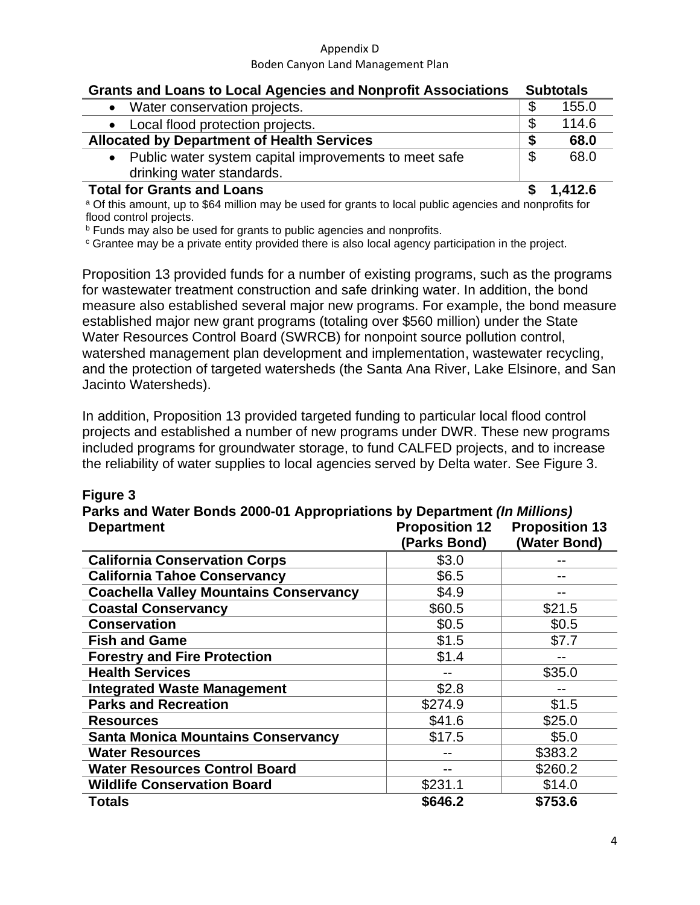## **Grants and Loans to Local Agencies and Nonprofit Associations Subtotals**

| drinking water standards.                             |  |       |
|-------------------------------------------------------|--|-------|
| Public water system capital improvements to meet safe |  | 68.0  |
| <b>Allocated by Department of Health Services</b>     |  | 68.0  |
| Local flood protection projects.                      |  | 114.6 |
| Water conservation projects.                          |  | 155.0 |

#### **Total for Grants and Loans \$ 1,412.6**

a Of this amount, up to \$64 million may be used for grants to local public agencies and nonprofits for flood control projects.

**b** Funds may also be used for grants to public agencies and nonprofits.

<sup>c</sup> Grantee may be a private entity provided there is also local agency participation in the project.

Proposition 13 provided funds for a number of existing programs, such as the programs for wastewater treatment construction and safe drinking water. In addition, the bond measure also established several major new programs. For example, the bond measure established major new grant programs (totaling over \$560 million) under the State Water Resources Control Board (SWRCB) for nonpoint source pollution control, watershed management plan development and implementation, wastewater recycling, and the protection of targeted watersheds (the Santa Ana River, Lake Elsinore, and San Jacinto Watersheds).

In addition, Proposition 13 provided targeted funding to particular local flood control projects and established a number of new programs under DWR. These new programs included programs for groundwater storage, to fund CALFED projects, and to increase the reliability of water supplies to local agencies served by Delta water. See Figure 3.

| <b>Department</b>                             | Parks and Water Bonds 2000-01 Appropriations by Department <i>(In Millions)</i><br><b>Proposition 12</b><br><b>Proposition 13</b> |              |  |
|-----------------------------------------------|-----------------------------------------------------------------------------------------------------------------------------------|--------------|--|
|                                               | (Parks Bond)                                                                                                                      | (Water Bond) |  |
| <b>California Conservation Corps</b>          | \$3.0                                                                                                                             |              |  |
| <b>California Tahoe Conservancy</b>           | \$6.5                                                                                                                             |              |  |
| <b>Coachella Valley Mountains Conservancy</b> | \$4.9                                                                                                                             |              |  |
| <b>Coastal Conservancy</b>                    | \$60.5                                                                                                                            | \$21.5       |  |
| <b>Conservation</b>                           | \$0.5                                                                                                                             | \$0.5        |  |
| <b>Fish and Game</b>                          | \$1.5                                                                                                                             | \$7.7        |  |
| <b>Forestry and Fire Protection</b>           | \$1.4                                                                                                                             |              |  |
| <b>Health Services</b>                        |                                                                                                                                   | \$35.0       |  |
| <b>Integrated Waste Management</b>            | \$2.8                                                                                                                             |              |  |
| <b>Parks and Recreation</b>                   | \$274.9                                                                                                                           | \$1.5        |  |
| <b>Resources</b>                              | \$41.6                                                                                                                            | \$25.0       |  |
| <b>Santa Monica Mountains Conservancy</b>     | \$17.5                                                                                                                            | \$5.0        |  |
| <b>Water Resources</b>                        |                                                                                                                                   | \$383.2      |  |
| <b>Water Resources Control Board</b>          |                                                                                                                                   | \$260.2      |  |
| <b>Wildlife Conservation Board</b>            | \$231.1                                                                                                                           | \$14.0       |  |
| <b>Totals</b>                                 | \$646.2                                                                                                                           | \$753.6      |  |

### **Figure 3**

**Parks and Water Bonds 2000-01 Appropriations by Department** *(In Millions)*